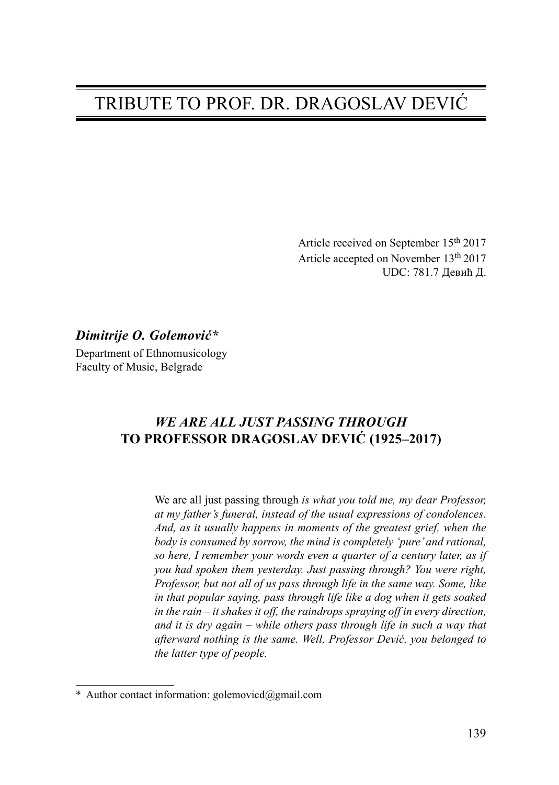# TRIBUTE TO PROF. DR. DRAGOSLAV DEVIĆ

Article received on September 15<sup>th</sup> 2017 Article accepted on November 13th 2017 UDC: 781.7 Девић Д.

### Dimitrije O. Golemović\*

Department of Ethnomusicology Faculty of Music, Belgrade

## WE ARE ALL JUST PASSING THROUGH TO PROFESSOR DRAGOSLAV DEVIĆ (1925–2017)

We are all just passing through is what you told me, my dear Professor, at my father's funeral, instead of the usual expressions of condolences. And, as it usually happens in moments of the greatest grief, when the body is consumed by sorrow, the mind is completely 'pure' and rational, so here, I remember your words even a quarter of a century later, as if you had spoken them yesterday. Just passing through? You were right, Professor, but not all of us pass through life in the same way. Some, like in that popular saying, pass through life like a dog when it gets soaked in the rain – it shakes it off, the raindrops spraying off in every direction, and it is dry again – while others pass through life in such a way that afterward nothing is the same. Well, Professor Dević, you belonged to the latter type of people.

<sup>\*</sup> Author contact information: golemovicd@gmail.com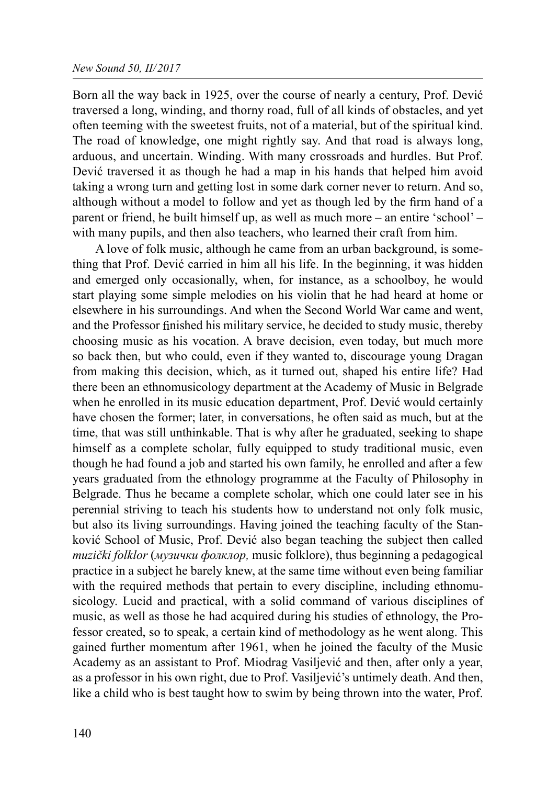### New Sound 50, II/2017

Born all the way back in 1925, over the course of nearly a century, Prof. Dević traversed a long, winding, and thorny road, full of all kinds of obstacles, and yet often teeming with the sweetest fruits, not of a material, but of the spiritual kind. The road of knowledge, one might rightly say. And that road is always long, arduous, and uncertain. Winding. With many crossroads and hurdles. But Prof. Dević traversed it as though he had a map in his hands that helped him avoid taking a wrong turn and getting lost in some dark corner never to return. And so, although without a model to follow and yet as though led by the firm hand of a parent or friend, he built himself up, as well as much more – an entire 'school' – with many pupils, and then also teachers, who learned their craft from him.

A love of folk music, although he came from an urban background, is something that Prof. Dević carried in him all his life. In the beginning, it was hidden and emerged only occasionally, when, for instance, as a schoolboy, he would start playing some simple melodies on his violin that he had heard at home or elsewhere in his surroundings. And when the Second World War came and went, and the Professor finished his military service, he decided to study music, thereby choosing music as his vocation. A brave decision, even today, but much more so back then, but who could, even if they wanted to, discourage young Dragan from making this decision, which, as it turned out, shaped his entire life? Had there been an ethnomusicology department at the Academy of Music in Belgrade when he enrolled in its music education department, Prof. Dević would certainly have chosen the former; later, in conversations, he often said as much, but at the time, that was still unthinkable. That is why after he graduated, seeking to shape himself as a complete scholar, fully equipped to study traditional music, even though he had found a job and started his own family, he enrolled and after a few years graduated from the ethnology programme at the Faculty of Philosophy in Belgrade. Thus he became a complete scholar, which one could later see in his perennial striving to teach his students how to understand not only folk music, but also its living surroundings. Having joined the teaching faculty of the Stanković School of Music, Prof. Dević also began teaching the subject then called muzički folklor (музички фолклор, music folklore), thus beginning a pedagogical practice in a subject he barely knew, at the same time without even being familiar with the required methods that pertain to every discipline, including ethnomusicology. Lucid and practical, with a solid command of various disciplines of music, as well as those he had acquired during his studies of ethnology, the Professor created, so to speak, a certain kind of methodology as he went along. This gained further momentum after 1961, when he joined the faculty of the Music Academy as an assistant to Prof. Miodrag Vasiljević and then, after only a year, as a professor in his own right, due to Prof. Vasiljević's untimely death. And then, like a child who is best taught how to swim by being thrown into the water, Prof.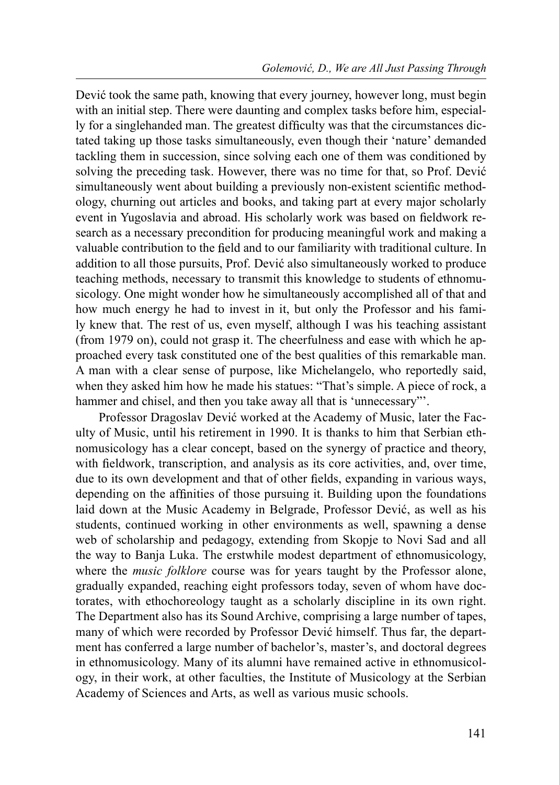Dević took the same path, knowing that every journey, however long, must begin with an initial step. There were daunting and complex tasks before him, especially for a singlehanded man. The greatest difficulty was that the circumstances dictated taking up those tasks simultaneously, even though their 'nature' demanded tackling them in succession, since solving each one of them was conditioned by solving the preceding task. However, there was no time for that, so Prof. Dević simultaneously went about building a previously non-existent scientific methodology, churning out articles and books, and taking part at every major scholarly event in Yugoslavia and abroad. His scholarly work was based on fieldwork research as a necessary precondition for producing meaningful work and making a valuable contribution to the field and to our familiarity with traditional culture. In addition to all those pursuits, Prof. Dević also simultaneously worked to produce teaching methods, necessary to transmit this knowledge to students of ethnomusicology. One might wonder how he simultaneously accomplished all of that and how much energy he had to invest in it, but only the Professor and his family knew that. The rest of us, even myself, although I was his teaching assistant (from 1979 on), could not grasp it. The cheerfulness and ease with which he approached every task constituted one of the best qualities of this remarkable man. A man with a clear sense of purpose, like Michelangelo, who reportedly said, when they asked him how he made his statues: "That's simple. A piece of rock, a hammer and chisel, and then you take away all that is 'unnecessary"'.

Professor Dragoslav Dević worked at the Academy of Music, later the Faculty of Music, until his retirement in 1990. It is thanks to him that Serbian ethnomusicology has a clear concept, based on the synergy of practice and theory, with fieldwork, transcription, and analysis as its core activities, and, over time, due to its own development and that of other fields, expanding in various ways, depending on the affinities of those pursuing it. Building upon the foundations laid down at the Music Academy in Belgrade, Professor Dević, as well as his students, continued working in other environments as well, spawning a dense web of scholarship and pedagogy, extending from Skopje to Novi Sad and all the way to Banja Luka. The erstwhile modest department of ethnomusicology, where the *music folklore* course was for years taught by the Professor alone, gradually expanded, reaching eight professors today, seven of whom have doctorates, with ethochoreology taught as a scholarly discipline in its own right. The Department also has its Sound Archive, comprising a large number of tapes, many of which were recorded by Professor Dević himself. Thus far, the department has conferred a large number of bachelor's, master's, and doctoral degrees in ethnomusicology. Many of its alumni have remained active in ethnomusicology, in their work, at other faculties, the Institute of Musicology at the Serbian Academy of Sciences and Arts, as well as various music schools.